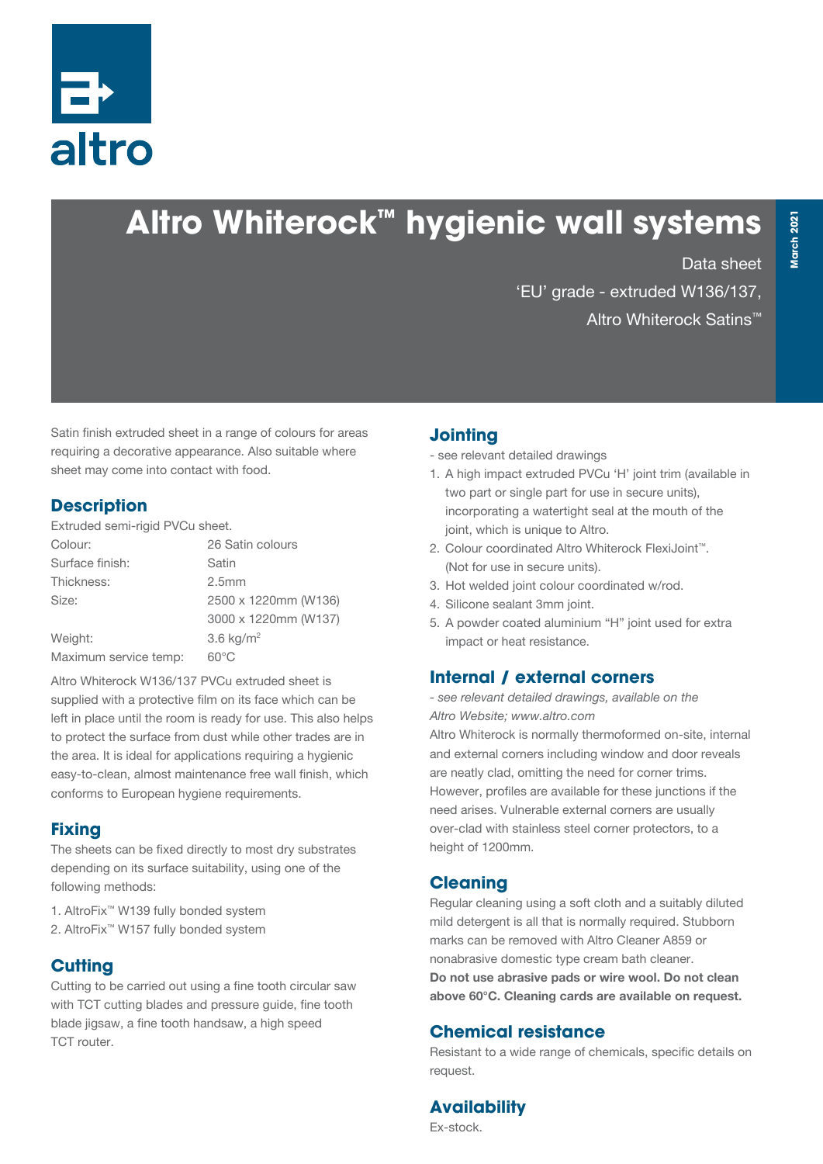

# **Altro Whiterock™ hygienic wall systems**

Data sheet

'EU' grade - extruded W136/137, Altro Whiterock Satins™

Satin finish extruded sheet in a range of colours for areas requiring a decorative appearance. Also suitable where sheet may come into contact with food.

#### **Description**

Extruded semi-rigid PVCu sheet.

| 26 Satin colours        |
|-------------------------|
| Satin                   |
| 2.5 <sub>mm</sub>       |
| 2500 x 1220mm (W136)    |
| 3000 x 1220mm (W137)    |
| $3.6$ kg/m <sup>2</sup> |
| $60^{\circ}$ C          |
|                         |

Altro Whiterock W136/137 PVCu extruded sheet is supplied with a protective film on its face which can be left in place until the room is ready for use. This also helps to protect the surface from dust while other trades are in the area. It is ideal for applications requiring a hygienic easy-to-clean, almost maintenance free wall finish, which conforms to European hygiene requirements.

#### **Fixing**

The sheets can be fixed directly to most dry substrates depending on its surface suitability, using one of the following methods:

1. AltroFix™ W139 fully bonded system 2. AltroFix™ W157 fully bonded system

#### **Cutting**

Cutting to be carried out using a fine tooth circular saw with TCT cutting blades and pressure guide, fine tooth blade jigsaw, a fine tooth handsaw, a high speed TCT router.

#### **Jointing**

- see relevant detailed drawings

- 1. A high impact extruded PVCu 'H' joint trim (available in two part or single part for use in secure units), incorporating a watertight seal at the mouth of the joint, which is unique to Altro.
- 2. Colour coordinated Altro Whiterock FlexiJoint™. (Not for use in secure units).
- 3. Hot welded joint colour coordinated w/rod.
- 4. Silicone sealant 3mm joint.
- 5. A powder coated aluminium "H" joint used for extra impact or heat resistance.

# **Internal / external corners**

*- see relevant detailed drawings, available on the Altro Website; www.altro.com*

Altro Whiterock is normally thermoformed on-site, internal and external corners including window and door reveals are neatly clad, omitting the need for corner trims. However, profiles are available for these junctions if the need arises. Vulnerable external corners are usually over-clad with stainless steel corner protectors, to a height of 1200mm.

# **Cleaning**

Regular cleaning using a soft cloth and a suitably diluted mild detergent is all that is normally required. Stubborn marks can be removed with Altro Cleaner A859 or nonabrasive domestic type cream bath cleaner. Do not use abrasive pads or wire wool. Do not clean above 60°C. Cleaning cards are available on request.

#### **Chemical resistance**

Resistant to a wide range of chemicals, specific details on request.

# **Availability**

Ex-stock.